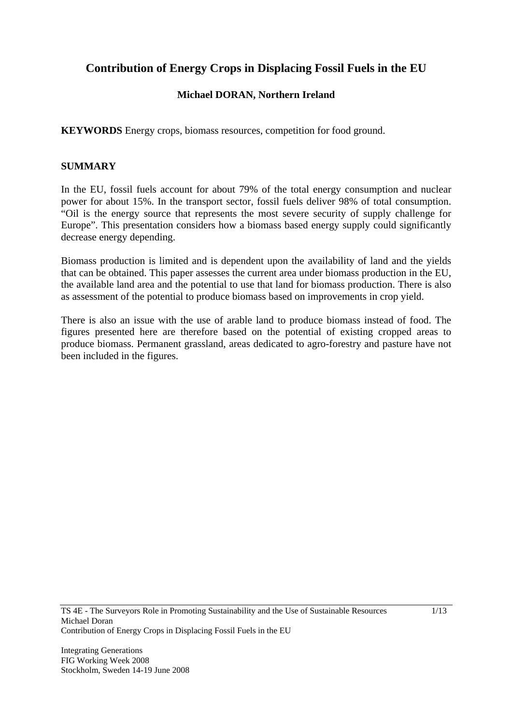# **Contribution of Energy Crops in Displacing Fossil Fuels in the EU**

# **Michael DORAN, Northern Ireland**

**KEYWORDS** Energy crops, biomass resources, competition for food ground.

## **SUMMARY**

In the EU, fossil fuels account for about 79% of the total energy consumption and nuclear power for about 15%. In the transport sector, fossil fuels deliver 98% of total consumption. "Oil is the energy source that represents the most severe security of supply challenge for Europe". This presentation considers how a biomass based energy supply could significantly decrease energy depending.

Biomass production is limited and is dependent upon the availability of land and the yields that can be obtained. This paper assesses the current area under biomass production in the EU, the available land area and the potential to use that land for biomass production. There is also as assessment of the potential to produce biomass based on improvements in crop yield.

There is also an issue with the use of arable land to produce biomass instead of food. The figures presented here are therefore based on the potential of existing cropped areas to produce biomass. Permanent grassland, areas dedicated to agro-forestry and pasture have not been included in the figures.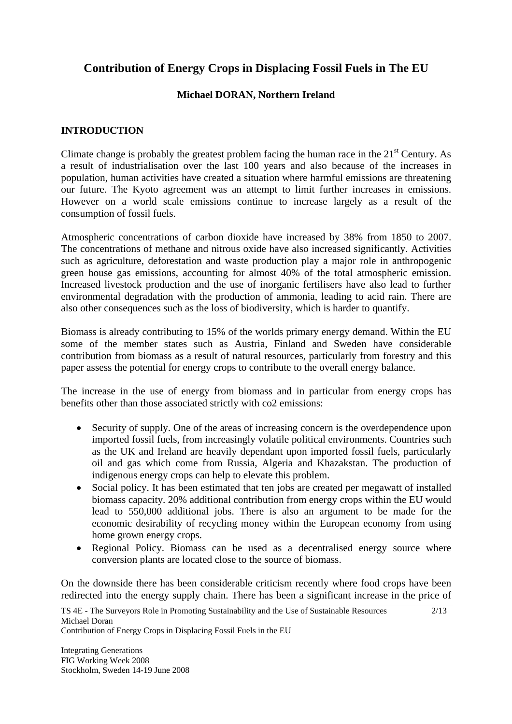# **Contribution of Energy Crops in Displacing Fossil Fuels in The EU**

# **Michael DORAN, Northern Ireland**

## **INTRODUCTION**

Climate change is probably the greatest problem facing the human race in the  $21<sup>st</sup>$  Century. As a result of industrialisation over the last 100 years and also because of the increases in population, human activities have created a situation where harmful emissions are threatening our future. The Kyoto agreement was an attempt to limit further increases in emissions. However on a world scale emissions continue to increase largely as a result of the consumption of fossil fuels.

Atmospheric concentrations of carbon dioxide have increased by 38% from 1850 to 2007. The concentrations of methane and nitrous oxide have also increased significantly. Activities such as agriculture, deforestation and waste production play a major role in anthropogenic green house gas emissions, accounting for almost 40% of the total atmospheric emission. Increased livestock production and the use of inorganic fertilisers have also lead to further environmental degradation with the production of ammonia, leading to acid rain. There are also other consequences such as the loss of biodiversity, which is harder to quantify.

Biomass is already contributing to 15% of the worlds primary energy demand. Within the EU some of the member states such as Austria, Finland and Sweden have considerable contribution from biomass as a result of natural resources, particularly from forestry and this paper assess the potential for energy crops to contribute to the overall energy balance.

The increase in the use of energy from biomass and in particular from energy crops has benefits other than those associated strictly with co2 emissions:

- Security of supply. One of the areas of increasing concern is the overdependence upon imported fossil fuels, from increasingly volatile political environments. Countries such as the UK and Ireland are heavily dependant upon imported fossil fuels, particularly oil and gas which come from Russia, Algeria and Khazakstan. The production of indigenous energy crops can help to elevate this problem.
- Social policy. It has been estimated that ten jobs are created per megawatt of installed biomass capacity. 20% additional contribution from energy crops within the EU would lead to 550,000 additional jobs. There is also an argument to be made for the economic desirability of recycling money within the European economy from using home grown energy crops.
- Regional Policy. Biomass can be used as a decentralised energy source where conversion plants are located close to the source of biomass.

On the downside there has been considerable criticism recently where food crops have been redirected into the energy supply chain. There has been a significant increase in the price of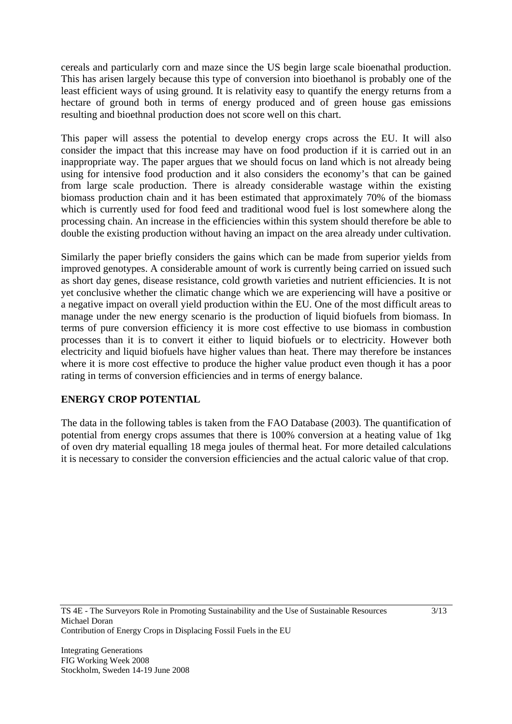cereals and particularly corn and maze since the US begin large scale bioenathal production. This has arisen largely because this type of conversion into bioethanol is probably one of the least efficient ways of using ground. It is relativity easy to quantify the energy returns from a hectare of ground both in terms of energy produced and of green house gas emissions resulting and bioethnal production does not score well on this chart.

This paper will assess the potential to develop energy crops across the EU. It will also consider the impact that this increase may have on food production if it is carried out in an inappropriate way. The paper argues that we should focus on land which is not already being using for intensive food production and it also considers the economy's that can be gained from large scale production. There is already considerable wastage within the existing biomass production chain and it has been estimated that approximately 70% of the biomass which is currently used for food feed and traditional wood fuel is lost somewhere along the processing chain. An increase in the efficiencies within this system should therefore be able to double the existing production without having an impact on the area already under cultivation.

Similarly the paper briefly considers the gains which can be made from superior yields from improved genotypes. A considerable amount of work is currently being carried on issued such as short day genes, disease resistance, cold growth varieties and nutrient efficiencies. It is not yet conclusive whether the climatic change which we are experiencing will have a positive or a negative impact on overall yield production within the EU. One of the most difficult areas to manage under the new energy scenario is the production of liquid biofuels from biomass. In terms of pure conversion efficiency it is more cost effective to use biomass in combustion processes than it is to convert it either to liquid biofuels or to electricity. However both electricity and liquid biofuels have higher values than heat. There may therefore be instances where it is more cost effective to produce the higher value product even though it has a poor rating in terms of conversion efficiencies and in terms of energy balance.

# **ENERGY CROP POTENTIAL**

The data in the following tables is taken from the FAO Database (2003). The quantification of potential from energy crops assumes that there is 100% conversion at a heating value of 1kg of oven dry material equalling 18 mega joules of thermal heat. For more detailed calculations it is necessary to consider the conversion efficiencies and the actual caloric value of that crop.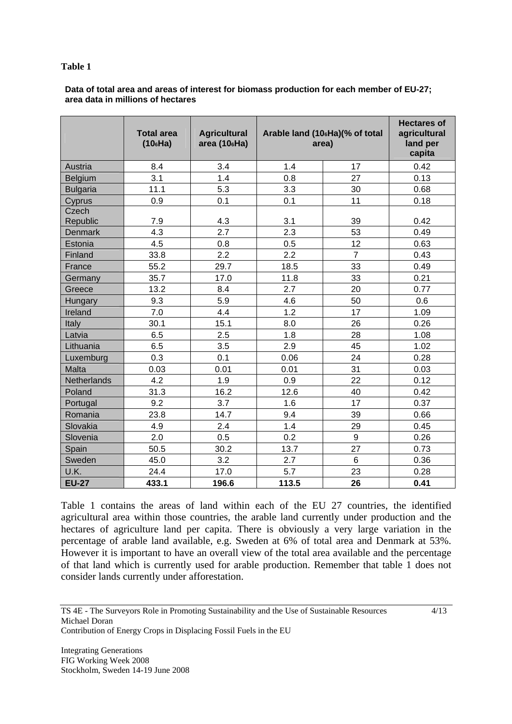#### **Table 1**

#### **Data of total area and areas of interest for biomass production for each member of EU-27; area data in millions of hectares**

|                 | <b>Total area</b><br>(106Ha) | <b>Agricultural</b><br>area (10 <sub>6</sub> Ha) | Arable land (10 <sub>6</sub> Ha)(% of total<br>area) |                | <b>Hectares of</b><br>agricultural<br>land per<br>capita |
|-----------------|------------------------------|--------------------------------------------------|------------------------------------------------------|----------------|----------------------------------------------------------|
| Austria         | 8.4                          | 3.4                                              | 1.4                                                  | 17             | 0.42                                                     |
| Belgium         | 3.1                          | 1.4                                              | 0.8                                                  | 27             | 0.13                                                     |
| <b>Bulgaria</b> | 11.1                         | 5.3                                              | 3.3                                                  | 30             | 0.68                                                     |
| Cyprus          | 0.9                          | 0.1                                              | 0.1                                                  | 11             | 0.18                                                     |
| Czech           |                              |                                                  |                                                      |                |                                                          |
| Republic        | 7.9                          | 4.3                                              | 3.1                                                  | 39             | 0.42                                                     |
| <b>Denmark</b>  | 4.3                          | 2.7                                              | 2.3                                                  | 53             | 0.49                                                     |
| Estonia         | 4.5                          | 0.8                                              | 0.5                                                  | 12             | 0.63                                                     |
| Finland         | 33.8                         | 2.2                                              | 2.2                                                  | $\overline{7}$ | 0.43                                                     |
| France          | 55.2                         | 29.7                                             | 18.5                                                 | 33             | 0.49                                                     |
| Germany         | 35.7                         | 17.0                                             | 11.8                                                 | 33             | 0.21                                                     |
| Greece          | 13.2                         | 8.4                                              | 2.7                                                  | 20             | 0.77                                                     |
| Hungary         | 9.3                          | 5.9                                              | 4.6                                                  | 50             | 0.6                                                      |
| Ireland         | 7.0                          | 4.4                                              | 1.2                                                  | 17             | 1.09                                                     |
| Italy           | 30.1                         | 15.1                                             | 8.0                                                  | 26             | 0.26                                                     |
| Latvia          | 6.5                          | 2.5                                              | 1.8                                                  | 28             | 1.08                                                     |
| Lithuania       | 6.5                          | 3.5                                              | 2.9                                                  | 45             | 1.02                                                     |
| Luxemburg       | 0.3                          | 0.1                                              | 0.06                                                 | 24             | 0.28                                                     |
| Malta           | 0.03                         | 0.01                                             | 0.01                                                 | 31             | 0.03                                                     |
| Netherlands     | 4.2                          | 1.9                                              | 0.9                                                  | 22             | 0.12                                                     |
| Poland          | 31.3                         | 16.2                                             | 12.6                                                 | 40             | 0.42                                                     |
| Portugal        | 9.2                          | 3.7                                              | 1.6                                                  | 17             | 0.37                                                     |
| Romania         | 23.8                         | 14.7                                             | 9.4                                                  | 39             | 0.66                                                     |
| Slovakia        | 4.9                          | 2.4                                              | 1.4                                                  | 29             | 0.45                                                     |
| Slovenia        | 2.0                          | 0.5                                              | 0.2                                                  | 9              | 0.26                                                     |
| Spain           | 50.5                         | 30.2                                             | 13.7                                                 | 27             | 0.73                                                     |
| Sweden          | 45.0                         | 3.2                                              | 2.7                                                  | $6\phantom{1}$ | 0.36                                                     |
| U.K.            | 24.4                         | 17.0                                             | 5.7                                                  | 23             | 0.28                                                     |
| <b>EU-27</b>    | 433.1                        | 196.6                                            | 113.5                                                | 26             | 0.41                                                     |

Table 1 contains the areas of land within each of the EU 27 countries, the identified agricultural area within those countries, the arable land currently under production and the hectares of agriculture land per capita. There is obviously a very large variation in the percentage of arable land available, e.g. Sweden at 6% of total area and Denmark at 53%. However it is important to have an overall view of the total area available and the percentage of that land which is currently used for arable production. Remember that table 1 does not consider lands currently under afforestation.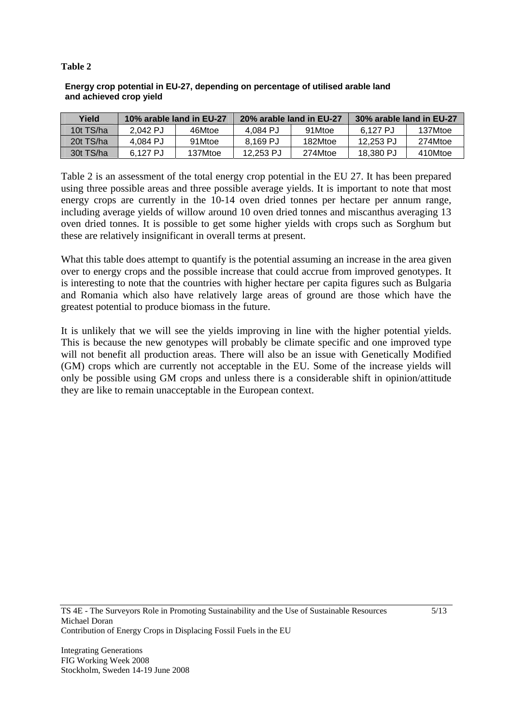## **Table 2**

|                         | Energy crop potential in EU-27, depending on percentage of utilised arable land |  |
|-------------------------|---------------------------------------------------------------------------------|--|
| and achieved crop yield |                                                                                 |  |

| Yield     | 10% arable land in EU-27 |         | 20% arable land in EU-27 |         | 30% arable land in EU-27 |         |
|-----------|--------------------------|---------|--------------------------|---------|--------------------------|---------|
| 10t TS/ha | 2.042 PJ                 | 46Mtoe  | 4.084 PJ                 | 91Mtoe  | 6.127 PJ                 | 137Mtoe |
| 20t TS/ha | 4.084 PJ                 | 91Mtoe  | 8.169 PJ                 | 182Mtoe | 12.253 PJ                | 274Mtoe |
| 30t TS/ha | 6.127 PJ                 | 137Mtoe | 12.253 PJ                | 274Mtoe | 18,380 PJ                | 410Mtoe |

Table 2 is an assessment of the total energy crop potential in the EU 27. It has been prepared using three possible areas and three possible average yields. It is important to note that most energy crops are currently in the 10-14 oven dried tonnes per hectare per annum range, including average yields of willow around 10 oven dried tonnes and miscanthus averaging 13 oven dried tonnes. It is possible to get some higher yields with crops such as Sorghum but these are relatively insignificant in overall terms at present.

What this table does attempt to quantify is the potential assuming an increase in the area given over to energy crops and the possible increase that could accrue from improved genotypes. It is interesting to note that the countries with higher hectare per capita figures such as Bulgaria and Romania which also have relatively large areas of ground are those which have the greatest potential to produce biomass in the future.

It is unlikely that we will see the yields improving in line with the higher potential yields. This is because the new genotypes will probably be climate specific and one improved type will not benefit all production areas. There will also be an issue with Genetically Modified (GM) crops which are currently not acceptable in the EU. Some of the increase yields will only be possible using GM crops and unless there is a considerable shift in opinion/attitude they are like to remain unacceptable in the European context.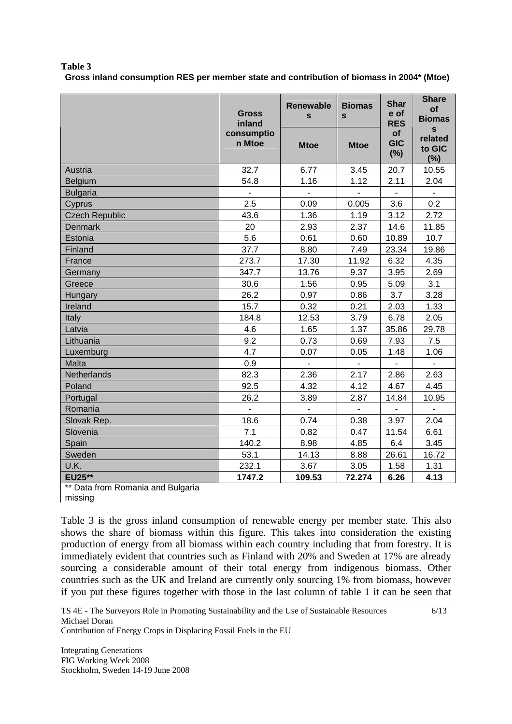| Table 3                                                                                   |  |
|-------------------------------------------------------------------------------------------|--|
| Gross inland consumption RES per member state and contribution of biomass in 2004* (Mtoe) |  |

|                                              | <b>Gross</b><br>inland   | <b>Renewable</b><br>$\mathbf{s}$ | <b>Biomas</b><br>$\mathbf{s}$ | <b>Shar</b><br>e of<br><b>RES</b> | <b>Share</b><br>of<br><b>Biomas</b>      |
|----------------------------------------------|--------------------------|----------------------------------|-------------------------------|-----------------------------------|------------------------------------------|
|                                              | consumptio<br>n Mtoe     | <b>Mtoe</b>                      | <b>Mtoe</b>                   | <b>of</b><br><b>GIC</b><br>(%)    | $\mathbf{s}$<br>related<br>to GIC<br>(%) |
| Austria                                      | 32.7                     | 6.77                             | 3.45                          | 20.7                              | 10.55                                    |
| Belgium                                      | 54.8                     | 1.16                             | 1.12                          | 2.11                              | 2.04                                     |
| <b>Bulgaria</b>                              | $\overline{\phantom{a}}$ | $\blacksquare$                   | $\blacksquare$                | $\blacksquare$                    | $\blacksquare$                           |
| Cyprus                                       | 2.5                      | 0.09                             | 0.005                         | 3.6                               | 0.2                                      |
| <b>Czech Republic</b>                        | 43.6                     | 1.36                             | 1.19                          | 3.12                              | 2.72                                     |
| <b>Denmark</b>                               | 20                       | 2.93                             | 2.37                          | 14.6                              | 11.85                                    |
| Estonia                                      | 5.6                      | 0.61                             | 0.60                          | 10.89                             | 10.7                                     |
| Finland                                      | 37.7                     | 8.80                             | 7.49                          | 23.34                             | 19.86                                    |
| France                                       | 273.7                    | 17.30                            | 11.92                         | 6.32                              | 4.35                                     |
| Germany                                      | 347.7                    | 13.76                            | 9.37                          | 3.95                              | 2.69                                     |
| Greece                                       | 30.6                     | 1.56                             | 0.95                          | 5.09                              | 3.1                                      |
| Hungary                                      | 26.2                     | 0.97                             | 0.86                          | 3.7                               | 3.28                                     |
| Ireland                                      | 15.7                     | 0.32                             | 0.21                          | 2.03                              | 1.33                                     |
| Italy                                        | 184.8                    | 12.53                            | 3.79                          | 6.78                              | 2.05                                     |
| Latvia                                       | 4.6                      | 1.65                             | 1.37                          | 35.86                             | 29.78                                    |
| Lithuania                                    | 9.2                      | 0.73                             | 0.69                          | 7.93                              | 7.5                                      |
| Luxemburg                                    | 4.7                      | 0.07                             | 0.05                          | 1.48                              | 1.06                                     |
| Malta                                        | 0.9                      | $\mathbf{r}$                     | $\mathbf{r}$                  | $\overline{a}$                    | $\overline{\phantom{a}}$                 |
| Netherlands                                  | 82.3                     | 2.36                             | 2.17                          | 2.86                              | 2.63                                     |
| Poland                                       | 92.5                     | 4.32                             | 4.12                          | 4.67                              | 4.45                                     |
| Portugal                                     | 26.2                     | 3.89                             | 2.87                          | 14.84                             | 10.95                                    |
| Romania                                      |                          | $\overline{a}$                   | $\blacksquare$                |                                   | $\overline{a}$                           |
| Slovak Rep.                                  | 18.6                     | 0.74                             | 0.38                          | 3.97                              | 2.04                                     |
| Slovenia                                     | 7.1                      | 0.82                             | 0.47                          | 11.54                             | 6.61                                     |
| Spain                                        | 140.2                    | 8.98                             | 4.85                          | 6.4                               | 3.45                                     |
| Sweden                                       | 53.1                     | 14.13                            | 8.88                          | 26.61                             | 16.72                                    |
| U.K.                                         | 232.1                    | 3.67                             | 3.05                          | 1.58                              | 1.31                                     |
| <b>EU25**</b>                                | 1747.2                   | 109.53                           | 72.274                        | 6.26                              | 4.13                                     |
| ** Data from Romania and Bulgaria<br>missing |                          |                                  |                               |                                   |                                          |

| missing

Table 3 is the gross inland consumption of renewable energy per member state. This also shows the share of biomass within this figure. This takes into consideration the existing production of energy from all biomass within each country including that from forestry. It is immediately evident that countries such as Finland with 20% and Sweden at 17% are already sourcing a considerable amount of their total energy from indigenous biomass. Other countries such as the UK and Ireland are currently only sourcing 1% from biomass, however if you put these figures together with those in the last column of table 1 it can be seen that

6/13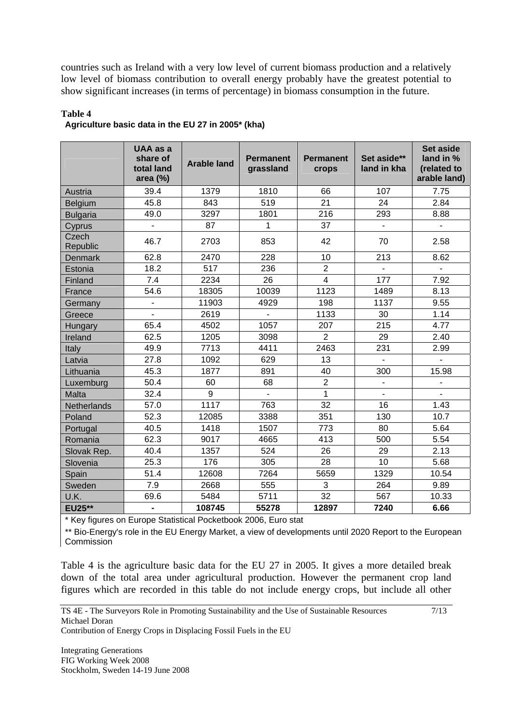countries such as Ireland with a very low level of current biomass production and a relatively low level of biomass contribution to overall energy probably have the greatest potential to show significant increases (in terms of percentage) in biomass consumption in the future.

|                    | UAA as a<br>share of<br>total land<br>area $(\%)$ | <b>Arable land</b> | <b>Permanent</b><br>grassland | <b>Permanent</b><br>crops | Set aside**<br>land in kha | <b>Set aside</b><br>land in %<br>(related to<br>arable land) |
|--------------------|---------------------------------------------------|--------------------|-------------------------------|---------------------------|----------------------------|--------------------------------------------------------------|
| Austria            | 39.4                                              | 1379               | 1810                          | 66                        | 107                        | 7.75                                                         |
| <b>Belgium</b>     | 45.8                                              | 843                | 519                           | 21                        | 24                         | 2.84                                                         |
| <b>Bulgaria</b>    | 49.0                                              | 3297               | 1801                          | 216                       | 293                        | 8.88                                                         |
| Cyprus             |                                                   | 87                 | 1                             | 37                        |                            |                                                              |
| Czech<br>Republic  | 46.7                                              | 2703               | 853                           | 42                        | 70                         | 2.58                                                         |
| Denmark            | 62.8                                              | 2470               | 228                           | 10                        | 213                        | 8.62                                                         |
| Estonia            | 18.2                                              | 517                | 236                           | $\overline{2}$            |                            | $\overline{a}$                                               |
| Finland            | 7.4                                               | 2234               | 26                            | $\overline{\mathbf{4}}$   | 177                        | 7.92                                                         |
| France             | 54.6                                              | 18305              | 10039                         | 1123                      | 1489                       | 8.13                                                         |
| Germany            | $\blacksquare$                                    | 11903              | 4929                          | 198                       | 1137                       | 9.55                                                         |
| Greece             |                                                   | 2619               |                               | 1133                      | 30                         | 1.14                                                         |
| Hungary            | 65.4                                              | 4502               | 1057                          | 207                       | 215                        | 4.77                                                         |
| Ireland            | 62.5                                              | 1205               | 3098                          | $\overline{2}$            | 29                         | 2.40                                                         |
| Italy              | 49.9                                              | 7713               | 4411                          | 2463                      | 231                        | 2.99                                                         |
| Latvia             | 27.8                                              | 1092               | 629                           | 13                        |                            |                                                              |
| Lithuania          | 45.3                                              | 1877               | 891                           | 40                        | 300                        | 15.98                                                        |
| Luxemburg          | 50.4                                              | 60                 | 68                            | $\overline{2}$            | $\overline{a}$             |                                                              |
| Malta              | 32.4                                              | 9                  | L.                            | 1                         | $\overline{a}$             |                                                              |
| <b>Netherlands</b> | 57.0                                              | 1117               | 763                           | 32                        | 16                         | 1.43                                                         |
| Poland             | 52.3                                              | 12085              | 3388                          | 351                       | 130                        | 10.7                                                         |
| Portugal           | 40.5                                              | 1418               | 1507                          | 773                       | 80                         | 5.64                                                         |
| Romania            | 62.3                                              | 9017               | 4665                          | 413                       | 500                        | 5.54                                                         |
| Slovak Rep.        | 40.4                                              | 1357               | 524                           | 26                        | 29                         | 2.13                                                         |
| Slovenia           | 25.3                                              | 176                | 305                           | 28                        | 10                         | 5.68                                                         |
| Spain              | 51.4                                              | 12608              | 7264                          | 5659                      | 1329                       | 10.54                                                        |
| Sweden             | 7.9                                               | 2668               | 555                           | 3                         | 264                        | 9.89                                                         |
| U.K.               | 69.6                                              | 5484               | 5711                          | 32                        | 567                        | 10.33                                                        |
| <b>EU25**</b>      | $\blacksquare$                                    | 108745             | 55278                         | 12897                     | 7240                       | 6.66                                                         |

#### **Table 4 Agriculture basic data in the EU 27 in 2005\* (kha)**

\* Key figures on Europe Statistical Pocketbook 2006, Euro stat

\*\* Bio-Energy's role in the EU Energy Market, a view of developments until 2020 Report to the European Commission

Table 4 is the agriculture basic data for the EU 27 in 2005. It gives a more detailed break down of the total area under agricultural production. However the permanent crop land figures which are recorded in this table do not include energy crops, but include all other

7/13

Contribution of Energy Crops in Displacing Fossil Fuels in the EU

Integrating Generations FIG Working Week 2008 Stockholm, Sweden 14-19 June 2008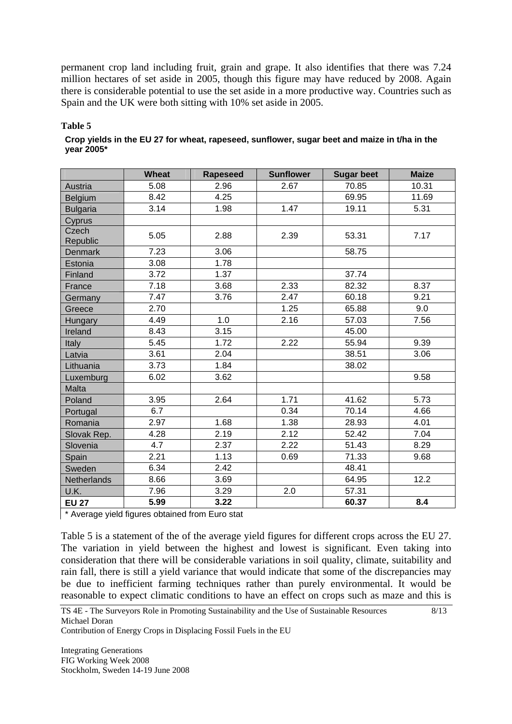permanent crop land including fruit, grain and grape. It also identifies that there was 7.24 million hectares of set aside in 2005, though this figure may have reduced by 2008. Again there is considerable potential to use the set aside in a more productive way. Countries such as Spain and the UK were both sitting with 10% set aside in 2005.

## **Table 5**

| Crop yields in the EU 27 for wheat, rapeseed, sunflower, sugar beet and maize in t/ha in the |  |  |
|----------------------------------------------------------------------------------------------|--|--|
| year 2005*                                                                                   |  |  |

|                   | <b>Wheat</b> | <b>Rapeseed</b> | <b>Sunflower</b> | <b>Sugar beet</b> | <b>Maize</b> |
|-------------------|--------------|-----------------|------------------|-------------------|--------------|
| Austria           | 5.08         | 2.96            | 2.67             | 70.85             | 10.31        |
| Belgium           | 8.42         | 4.25            |                  | 69.95             | 11.69        |
| <b>Bulgaria</b>   | 3.14         | 1.98            | 1.47             | 19.11             | 5.31         |
| Cyprus            |              |                 |                  |                   |              |
| Czech<br>Republic | 5.05         | 2.88            | 2.39             | 53.31             | 7.17         |
| <b>Denmark</b>    | 7.23         | 3.06            |                  | 58.75             |              |
| Estonia           | 3.08         | 1.78            |                  |                   |              |
| Finland           | 3.72         | 1.37            |                  | 37.74             |              |
| France            | 7.18         | 3.68            | 2.33             | 82.32             | 8.37         |
| Germany           | 7.47         | 3.76            | 2.47             | 60.18             | 9.21         |
| Greece            | 2.70         |                 | 1.25             | 65.88             | 9.0          |
| Hungary           | 4.49         | 1.0             | 2.16             | 57.03             | 7.56         |
| Ireland           | 8.43         | 3.15            |                  | 45.00             |              |
| Italy             | 5.45         | 1.72            | 2.22             | 55.94             | 9.39         |
| Latvia            | 3.61         | 2.04            |                  | 38.51             | 3.06         |
| Lithuania         | 3.73         | 1.84            |                  | 38.02             |              |
| Luxemburg         | 6.02         | 3.62            |                  |                   | 9.58         |
| Malta             |              |                 |                  |                   |              |
| Poland            | 3.95         | 2.64            | 1.71             | 41.62             | 5.73         |
| Portugal          | 6.7          |                 | 0.34             | 70.14             | 4.66         |
| Romania           | 2.97         | 1.68            | 1.38             | 28.93             | 4.01         |
| Slovak Rep.       | 4.28         | 2.19            | 2.12             | 52.42             | 7.04         |
| Slovenia          | 4.7          | 2.37            | 2.22             | 51.43             | 8.29         |
| Spain             | 2.21         | 1.13            | 0.69             | 71.33             | 9.68         |
| Sweden            | 6.34         | 2.42            |                  | 48.41             |              |
| Netherlands       | 8.66         | 3.69            |                  | 64.95             | 12.2         |
| U.K.              | 7.96         | 3.29            | 2.0              | 57.31             |              |
| <b>EU 27</b>      | 5.99         | 3.22            |                  | 60.37             | 8.4          |

\* Average yield figures obtained from Euro stat

Table 5 is a statement of the of the average yield figures for different crops across the EU 27. The variation in yield between the highest and lowest is significant. Even taking into consideration that there will be considerable variations in soil quality, climate, suitability and rain fall, there is still a yield variance that would indicate that some of the discrepancies may be due to inefficient farming techniques rather than purely environmental. It would be reasonable to expect climatic conditions to have an effect on crops such as maze and this is

8/13

Contribution of Energy Crops in Displacing Fossil Fuels in the EU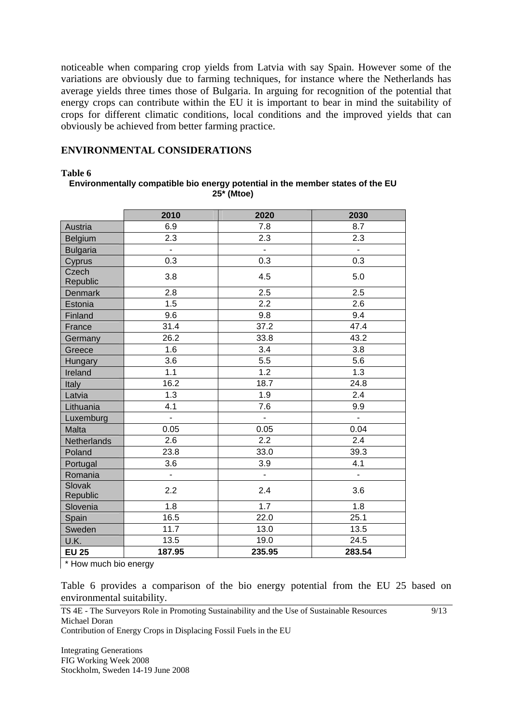noticeable when comparing crop yields from Latvia with say Spain. However some of the variations are obviously due to farming techniques, for instance where the Netherlands has average yields three times those of Bulgaria. In arguing for recognition of the potential that energy crops can contribute within the EU it is important to bear in mind the suitability of crops for different climatic conditions, local conditions and the improved yields that can obviously be achieved from better farming practice.

## **ENVIRONMENTAL CONSIDERATIONS**

#### **Table 6**

#### **Environmentally compatible bio energy potential in the member states of the EU 25\* (Mtoe)**

|                           | 2010          | 2020                     | 2030                     |
|---------------------------|---------------|--------------------------|--------------------------|
| Austria                   | 6.9           | 7.8                      | 8.7                      |
| Belgium                   | 2.3           | 2.3                      | 2.3                      |
| <b>Bulgaria</b>           | ä,            | ÷,                       | L.                       |
| Cyprus                    | 0.3           | 0.3                      | 0.3                      |
| Czech<br>Republic         | 3.8           | 4.5                      | 5.0                      |
| <b>Denmark</b>            | 2.8           | 2.5                      | 2.5                      |
| Estonia                   | 1.5           | 2.2                      | 2.6                      |
| Finland                   | 9.6           | 9.8                      | 9.4                      |
| France                    | 31.4          | 37.2                     | 47.4                     |
| Germany                   | 26.2          | 33.8                     | 43.2                     |
| Greece                    | 1.6           | 3.4                      | 3.8                      |
| Hungary                   | 3.6           | 5.5                      | 5.6                      |
| Ireland                   | 1.1           | 1.2                      | 1.3                      |
| Italy                     | 16.2          | 18.7                     | 24.8                     |
| Latvia                    | 1.3           | 1.9                      | 2.4                      |
| Lithuania                 | 4.1           | 7.6                      | 9.9                      |
| Luxemburg                 | ä,            | $\overline{\phantom{0}}$ | $\blacksquare$           |
| Malta                     | 0.05          | 0.05                     | 0.04                     |
| Netherlands               | 2.6           | 2.2                      | 2.4                      |
| Poland                    | 23.8          | 33.0                     | 39.3                     |
| Portugal                  | 3.6           | 3.9                      | 4.1                      |
| Romania                   | $\frac{1}{2}$ | -                        | $\overline{\phantom{a}}$ |
| <b>Slovak</b><br>Republic | 2.2           | 2.4                      | 3.6                      |
| Slovenia                  | 1.8           | 1.7                      | 1.8                      |
| Spain                     | 16.5          | 22.0                     | 25.1                     |
| Sweden                    | 11.7          | 13.0                     | 13.5                     |
| U.K.                      | 13.5          | 19.0                     | 24.5                     |
| <b>EU 25</b>              | 187.95        | 235.95                   | 283.54                   |

\* How much bio energy

Table 6 provides a comparison of the bio energy potential from the EU 25 based on environmental suitability.

9/13

TS 4E - The Surveyors Role in Promoting Sustainability and the Use of Sustainable Resources Michael Doran

Contribution of Energy Crops in Displacing Fossil Fuels in the EU

Integrating Generations FIG Working Week 2008 Stockholm, Sweden 14-19 June 2008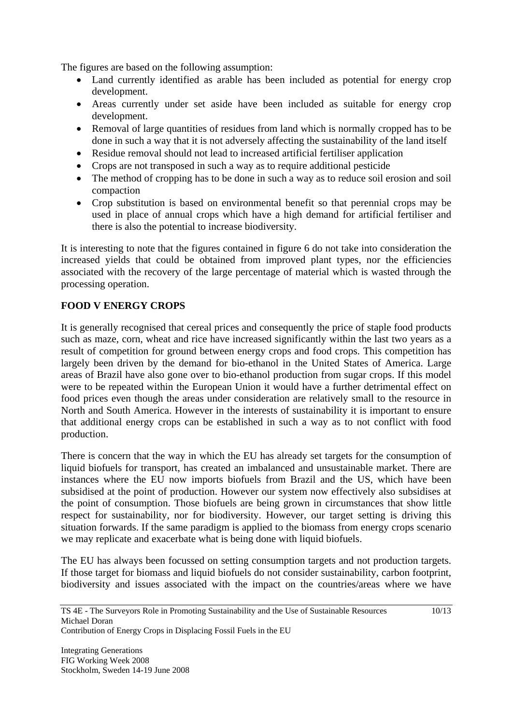The figures are based on the following assumption:

- Land currently identified as arable has been included as potential for energy crop development.
- Areas currently under set aside have been included as suitable for energy crop development.
- Removal of large quantities of residues from land which is normally cropped has to be done in such a way that it is not adversely affecting the sustainability of the land itself
- Residue removal should not lead to increased artificial fertiliser application
- Crops are not transposed in such a way as to require additional pesticide
- The method of cropping has to be done in such a way as to reduce soil erosion and soil compaction
- Crop substitution is based on environmental benefit so that perennial crops may be used in place of annual crops which have a high demand for artificial fertiliser and there is also the potential to increase biodiversity.

It is interesting to note that the figures contained in figure 6 do not take into consideration the increased yields that could be obtained from improved plant types, nor the efficiencies associated with the recovery of the large percentage of material which is wasted through the processing operation.

## **FOOD V ENERGY CROPS**

It is generally recognised that cereal prices and consequently the price of staple food products such as maze, corn, wheat and rice have increased significantly within the last two years as a result of competition for ground between energy crops and food crops. This competition has largely been driven by the demand for bio-ethanol in the United States of America. Large areas of Brazil have also gone over to bio-ethanol production from sugar crops. If this model were to be repeated within the European Union it would have a further detrimental effect on food prices even though the areas under consideration are relatively small to the resource in North and South America. However in the interests of sustainability it is important to ensure that additional energy crops can be established in such a way as to not conflict with food production.

There is concern that the way in which the EU has already set targets for the consumption of liquid biofuels for transport, has created an imbalanced and unsustainable market. There are instances where the EU now imports biofuels from Brazil and the US, which have been subsidised at the point of production. However our system now effectively also subsidises at the point of consumption. Those biofuels are being grown in circumstances that show little respect for sustainability, nor for biodiversity. However, our target setting is driving this situation forwards. If the same paradigm is applied to the biomass from energy crops scenario we may replicate and exacerbate what is being done with liquid biofuels.

The EU has always been focussed on setting consumption targets and not production targets. If those target for biomass and liquid biofuels do not consider sustainability, carbon footprint, biodiversity and issues associated with the impact on the countries/areas where we have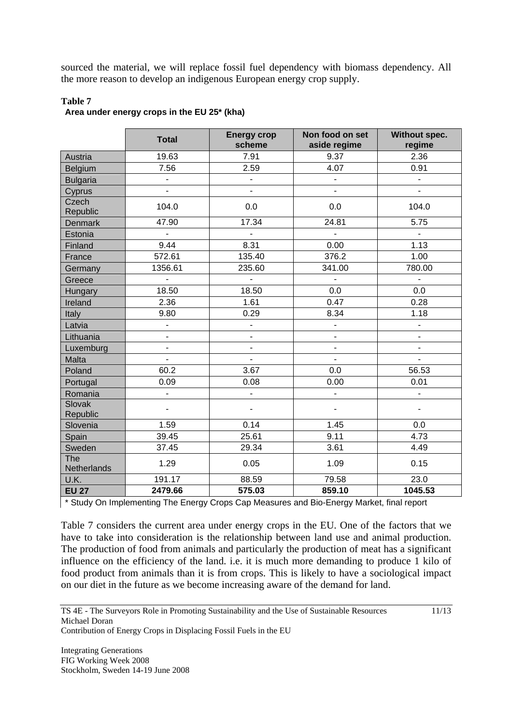sourced the material, we will replace fossil fuel dependency with biomass dependency. All the more reason to develop an indigenous European energy crop supply.

|                    | <b>Total</b>             | <b>Energy crop</b><br>scheme | Non food on set<br>aside regime | Without spec.<br>regime  |
|--------------------|--------------------------|------------------------------|---------------------------------|--------------------------|
| Austria            | 19.63                    | 7.91                         | 9.37                            | 2.36                     |
| Belgium            | 7.56                     | 2.59                         | 4.07                            | 0.91                     |
| <b>Bulgaria</b>    | ÷,                       | $\overline{a}$               | $\blacksquare$                  | $\blacksquare$           |
| Cyprus             |                          |                              |                                 |                          |
| Czech<br>Republic  | 104.0                    | 0.0                          | 0.0                             | 104.0                    |
| <b>Denmark</b>     | 47.90                    | 17.34                        | 24.81                           | 5.75                     |
| Estonia            | $\blacksquare$           | $\blacksquare$               | $\blacksquare$                  | ÷.                       |
| Finland            | 9.44                     | 8.31                         | 0.00                            | 1.13                     |
| France             | 572.61                   | 135.40                       | 376.2                           | 1.00                     |
| Germany            | 1356.61                  | 235.60                       | 341.00                          | 780.00                   |
| Greece             |                          | ÷,                           | ä,                              |                          |
| Hungary            | 18.50                    | 18.50                        | 0.0                             | 0.0                      |
| Ireland            | 2.36                     | 1.61                         | 0.47                            | 0.28                     |
| Italy              | 9.80                     | 0.29                         | 8.34                            | 1.18                     |
| Latvia             | $\overline{\phantom{a}}$ | $\overline{a}$               | $\blacksquare$                  | $\blacksquare$           |
| Lithuania          | $\overline{\phantom{0}}$ | $\qquad \qquad \blacksquare$ | $\overline{\phantom{a}}$        | $\overline{\phantom{a}}$ |
| Luxemburg          | ä,                       | $\overline{\phantom{0}}$     |                                 |                          |
| Malta              |                          |                              |                                 |                          |
| Poland             | 60.2                     | 3.67                         | 0.0                             | 56.53                    |
| Portugal           | 0.09                     | 0.08                         | 0.00                            | 0.01                     |
| Romania            |                          | $\overline{a}$               | -                               |                          |
| Slovak<br>Republic | $\overline{\phantom{0}}$ | ÷                            | -                               |                          |
| Slovenia           | 1.59                     | 0.14                         | 1.45                            | 0.0                      |
| Spain              | 39.45                    | 25.61                        | 9.11                            | 4.73                     |
| Sweden             | 37.45                    | 29.34                        | 3.61                            | 4.49                     |
| The<br>Netherlands | 1.29                     | 0.05                         | 1.09                            | 0.15                     |
| U.K.               | 191.17                   | 88.59                        | 79.58                           | 23.0                     |
| <b>EU 27</b>       | 2479.66                  | 575.03                       | 859.10                          | 1045.53                  |

#### **Table 7 Area under energy crops in the EU 25\* (kha)**

\* Study On Implementing The Energy Crops Cap Measures and Bio-Energy Market, final report

Table 7 considers the current area under energy crops in the EU. One of the factors that we have to take into consideration is the relationship between land use and animal production. The production of food from animals and particularly the production of meat has a significant influence on the efficiency of the land. i.e. it is much more demanding to produce 1 kilo of food product from animals than it is from crops. This is likely to have a sociological impact on our diet in the future as we become increasing aware of the demand for land.

11/13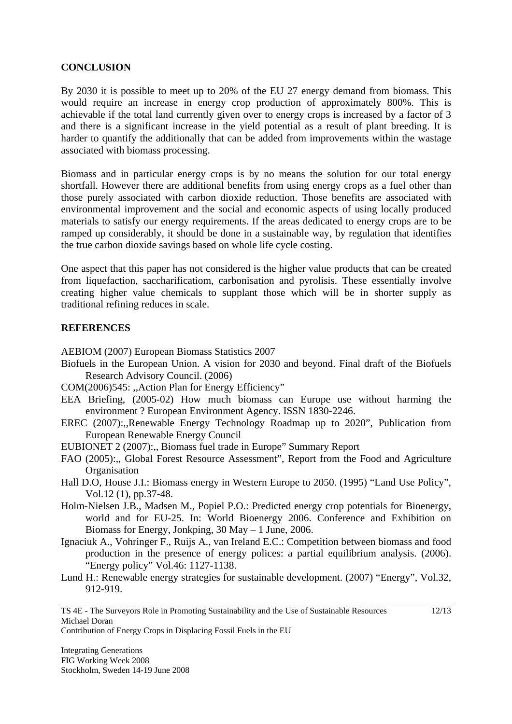## **CONCLUSION**

By 2030 it is possible to meet up to 20% of the EU 27 energy demand from biomass. This would require an increase in energy crop production of approximately 800%. This is achievable if the total land currently given over to energy crops is increased by a factor of 3 and there is a significant increase in the yield potential as a result of plant breeding. It is harder to quantify the additionally that can be added from improvements within the wastage associated with biomass processing.

Biomass and in particular energy crops is by no means the solution for our total energy shortfall. However there are additional benefits from using energy crops as a fuel other than those purely associated with carbon dioxide reduction. Those benefits are associated with environmental improvement and the social and economic aspects of using locally produced materials to satisfy our energy requirements. If the areas dedicated to energy crops are to be ramped up considerably, it should be done in a sustainable way, by regulation that identifies the true carbon dioxide savings based on whole life cycle costing.

One aspect that this paper has not considered is the higher value products that can be created from liquefaction, saccharificatiom, carbonisation and pyrolisis. These essentially involve creating higher value chemicals to supplant those which will be in shorter supply as traditional refining reduces in scale.

## **REFERENCES**

AEBIOM (2007) European Biomass Statistics 2007

- Biofuels in the European Union. A vision for 2030 and beyond. Final draft of the Biofuels Research Advisory Council. (2006)
- COM(2006)545: ,,Action Plan for Energy Efficiency"
- EEA Briefing, (2005-02) How much biomass can Europe use without harming the environment ? European Environment Agency. ISSN 1830-2246.
- EREC (2007):,,Renewable Energy Technology Roadmap up to 2020", Publication from European Renewable Energy Council
- EUBIONET 2 (2007):,, Biomass fuel trade in Europe" Summary Report
- FAO (2005):,, Global Forest Resource Assessment", Report from the Food and Agriculture **Organisation**
- Hall D.O, House J.I.: Biomass energy in Western Europe to 2050. (1995) "Land Use Policy", Vol.12 (1), pp.37-48.
- Holm-Nielsen J.B., Madsen M., Popiel P.O.: Predicted energy crop potentials for Bioenergy, world and for EU-25. In: World Bioenergy 2006. Conference and Exhibition on Biomass for Energy, Jonkping,  $30$  May  $-1$  June,  $2006$ .
- Ignaciuk A., Vohringer F., Ruijs A., van Ireland E.C.: Competition between biomass and food production in the presence of energy polices: a partial equilibrium analysis. (2006). "Energy policy" Vol.46: 1127-1138.
- Lund H.: Renewable energy strategies for sustainable development. (2007) "Energy", Vol.32, 912-919.

12/13

Contribution of Energy Crops in Displacing Fossil Fuels in the EU